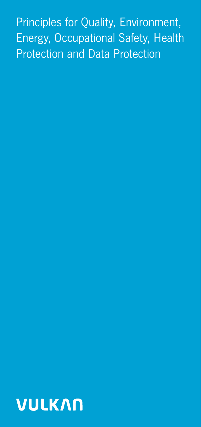Principles for Quality, Environment, Energy, Occupational Safety, Health Protection and Data Protection

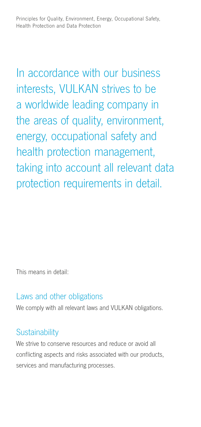Principles for Quality, Environment, Energy, Occupational Safety, Health Protection and Data Protection

In accordance with our business interests, VULKAN strives to be a worldwide leading company in the areas of quality, environment, energy, occupational safety and health protection management, taking into account all relevant data protection requirements in detail.

This means in detail:

### Laws and other obligations

We comply with all relevant laws and VULKAN obligations.

# Sustainability

We strive to conserve resources and reduce or avoid all conflicting aspects and risks associated with our products, services and manufacturing processes.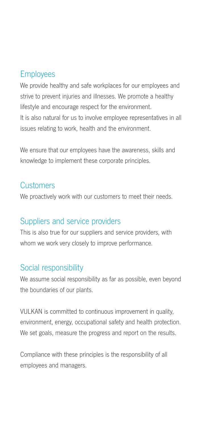# Employees

We provide healthy and safe workplaces for our employees and strive to prevent injuries and illnesses. We promote a healthy lifestyle and encourage respect for the environment. It is also natural for us to involve employee representatives in all issues relating to work, health and the environment.

We ensure that our employees have the awareness, skills and knowledge to implement these corporate principles.

### **Customers**

We proactively work with our customers to meet their needs.

# Suppliers and service providers

This is also true for our suppliers and service providers, with whom we work very closely to improve performance.

# Social responsibility

We assume social responsibility as far as possible, even beyond the boundaries of our plants.

VULKAN is committed to continuous improvement in quality, environment, energy, occupational safety and health protection. We set goals, measure the progress and report on the results.

Compliance with these principles is the responsibility of all employees and managers.